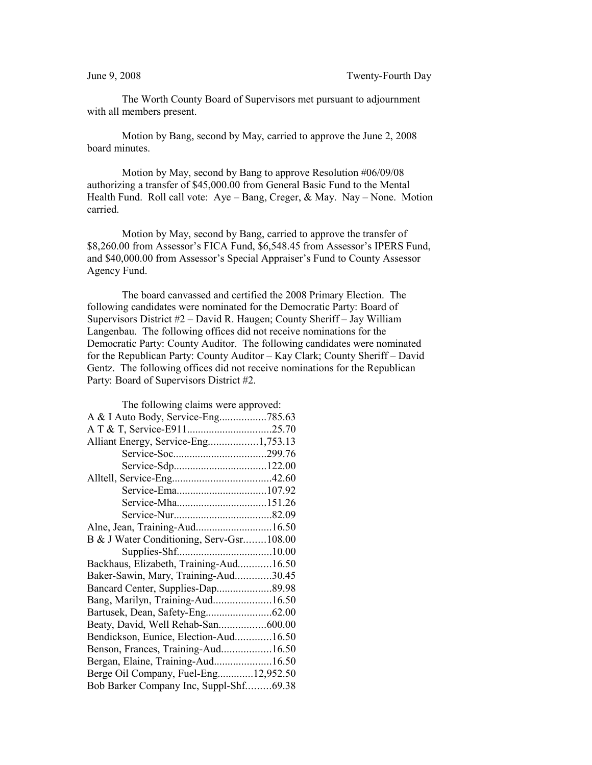The Worth County Board of Supervisors met pursuant to adjournment with all members present.

Motion by Bang, second by May, carried to approve the June 2, 2008 board minutes.

Motion by May, second by Bang to approve Resolution #06/09/08 authorizing a transfer of \$45,000.00 from General Basic Fund to the Mental Health Fund. Roll call vote: Aye – Bang, Creger, & May. Nay – None. Motion carried.

Motion by May, second by Bang, carried to approve the transfer of \$8,260.00 from Assessor's FICA Fund, \$6,548.45 from Assessor's IPERS Fund, and \$40,000.00 from Assessor's Special Appraiser's Fund to County Assessor Agency Fund.

The board canvassed and certified the 2008 Primary Election. The following candidates were nominated for the Democratic Party: Board of Supervisors District #2 – David R. Haugen; County Sheriff – Jay William Langenbau. The following offices did not receive nominations for the Democratic Party: County Auditor. The following candidates were nominated for the Republican Party: County Auditor – Kay Clark; County Sheriff – David Gentz. The following offices did not receive nominations for the Republican Party: Board of Supervisors District #2.

| The following claims were approved:      |  |
|------------------------------------------|--|
| A & I Auto Body, Service-Eng785.63       |  |
|                                          |  |
| Alliant Energy, Service-Eng1,753.13      |  |
|                                          |  |
|                                          |  |
|                                          |  |
|                                          |  |
|                                          |  |
|                                          |  |
| Alne, Jean, Training-Aud16.50            |  |
| B & J Water Conditioning, Serv-Gsr108.00 |  |
|                                          |  |
| Backhaus, Elizabeth, Training-Aud16.50   |  |
| Baker-Sawin, Mary, Training-Aud30.45     |  |
| Bancard Center, Supplies-Dap89.98        |  |
| Bang, Marilyn, Training-Aud16.50         |  |
|                                          |  |
| Beaty, David, Well Rehab-San600.00       |  |
| Bendickson, Eunice, Election-Aud16.50    |  |
| Benson, Frances, Training-Aud16.50       |  |
| Bergan, Elaine, Training-Aud16.50        |  |
| Berge Oil Company, Fuel-Eng12,952.50     |  |
| Bob Barker Company Inc, Suppl-Shf69.38   |  |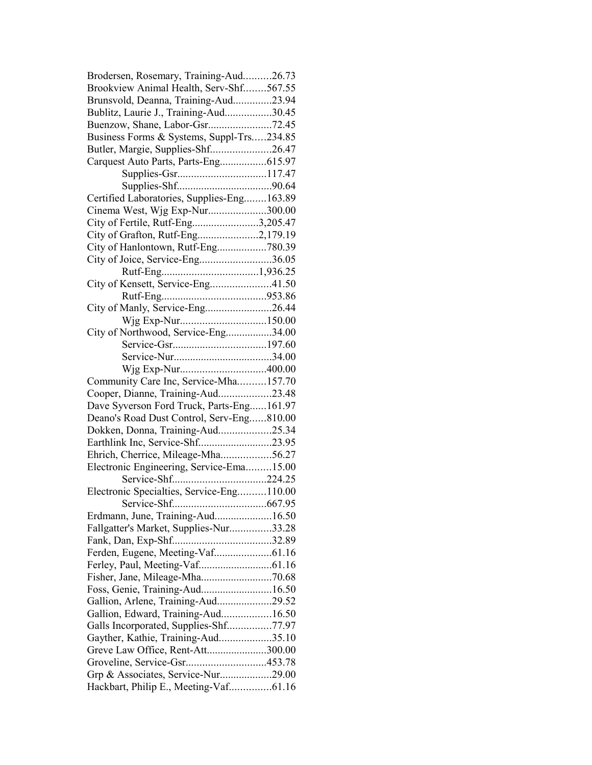| Brodersen, Rosemary, Training-Aud26.73     |  |
|--------------------------------------------|--|
| Brookview Animal Health, Serv-Shf567.55    |  |
| Brunsvold, Deanna, Training-Aud23.94       |  |
| Bublitz, Laurie J., Training-Aud30.45      |  |
|                                            |  |
| Business Forms & Systems, Suppl-Trs234.85  |  |
| Butler, Margie, Supplies-Shf26.47          |  |
| Carquest Auto Parts, Parts-Eng615.97       |  |
|                                            |  |
|                                            |  |
| Certified Laboratories, Supplies-Eng163.89 |  |
| Cinema West, Wjg Exp-Nur300.00             |  |
| City of Fertile, Rutf-Eng3,205.47          |  |
| City of Grafton, Rutf-Eng2,179.19          |  |
| City of Hanlontown, Rutf-Eng780.39         |  |
| City of Joice, Service-Eng36.05            |  |
|                                            |  |
| City of Kensett, Service-Eng41.50          |  |
|                                            |  |
|                                            |  |
| City of Manly, Service-Eng26.44            |  |
| Wjg Exp-Nur150.00                          |  |
| City of Northwood, Service-Eng34.00        |  |
|                                            |  |
|                                            |  |
|                                            |  |
| Community Care Inc, Service-Mha157.70      |  |
| Cooper, Dianne, Training-Aud23.48          |  |
| Dave Syverson Ford Truck, Parts-Eng161.97  |  |
| Deano's Road Dust Control, Serv-Eng810.00  |  |
| Dokken, Donna, Training-Aud25.34           |  |
| Earthlink Inc, Service-Shf23.95            |  |
| Ehrich, Cherrice, Mileage-Mha56.27         |  |
| Electronic Engineering, Service-Ema15.00   |  |
|                                            |  |
| Electronic Specialties, Service-Eng110.00  |  |
|                                            |  |
| Erdmann, June, Training-Aud16.50           |  |
| Fallgatter's Market, Supplies-Nur33.28     |  |
|                                            |  |
|                                            |  |
|                                            |  |
|                                            |  |
| Foss, Genie, Training-Aud16.50             |  |
| Gallion, Arlene, Training-Aud29.52         |  |
| Gallion, Edward, Training-Aud16.50         |  |
| Galls Incorporated, Supplies-Shf77.97      |  |
| Gayther, Kathie, Training-Aud35.10         |  |
| Greve Law Office, Rent-Att300.00           |  |
| Groveline, Service-Gsr453.78               |  |
| Grp & Associates, Service-Nur29.00         |  |
| Hackbart, Philip E., Meeting-Vaf61.16      |  |
|                                            |  |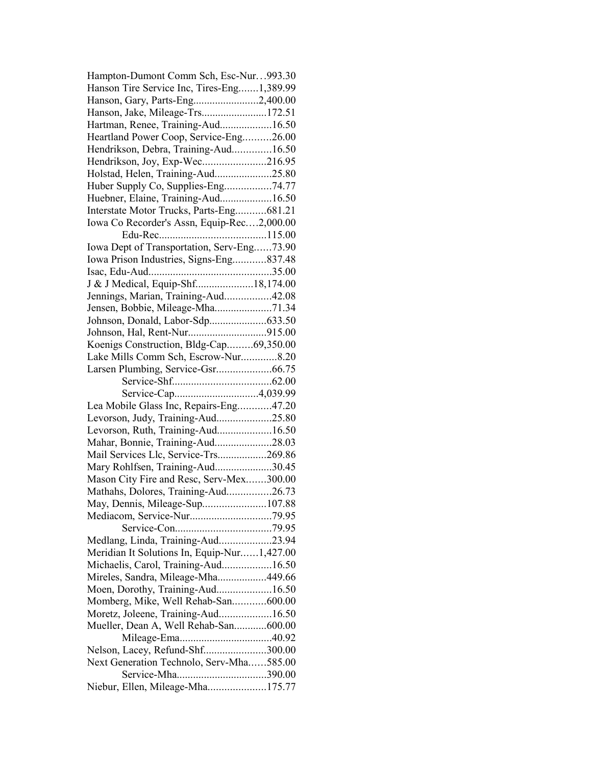| Hampton-Dumont Comm Sch, Esc-Nur993.30      |  |
|---------------------------------------------|--|
| Hanson Tire Service Inc, Tires-Eng1,389.99  |  |
| Hanson, Gary, Parts-Eng2,400.00             |  |
| Hanson, Jake, Mileage-Trs172.51             |  |
| Hartman, Renee, Training-Aud16.50           |  |
| Heartland Power Coop, Service-Eng26.00      |  |
| Hendrikson, Debra, Training-Aud16.50        |  |
| Hendrikson, Joy, Exp-Wec216.95              |  |
| Holstad, Helen, Training-Aud25.80           |  |
| Huber Supply Co, Supplies-Eng74.77          |  |
| Huebner, Elaine, Training-Aud16.50          |  |
| Interstate Motor Trucks, Parts-Eng681.21    |  |
| Iowa Co Recorder's Assn, Equip-Rec2,000.00  |  |
|                                             |  |
| Iowa Dept of Transportation, Serv-Eng73.90  |  |
| Iowa Prison Industries, Signs-Eng837.48     |  |
|                                             |  |
| J & J Medical, Equip-Shf18,174.00           |  |
| Jennings, Marian, Training-Aud42.08         |  |
| Jensen, Bobbie, Mileage-Mha71.34            |  |
|                                             |  |
| Johnson, Donald, Labor-Sdp633.50            |  |
|                                             |  |
| Koenigs Construction, Bldg-Cap69,350.00     |  |
| Lake Mills Comm Sch, Escrow-Nur8.20         |  |
|                                             |  |
|                                             |  |
| Service-Cap4,039.99                         |  |
| Lea Mobile Glass Inc, Repairs-Eng47.20      |  |
| Levorson, Judy, Training-Aud25.80           |  |
| Levorson, Ruth, Training-Aud16.50           |  |
| Mahar, Bonnie, Training-Aud28.03            |  |
| Mail Services Llc, Service-Trs269.86        |  |
| Mary Rohlfsen, Training-Aud30.45            |  |
| Mason City Fire and Resc, Serv-Mex300.00    |  |
| Mathahs, Dolores, Training-Aud26.73         |  |
| May, Dennis, Mileage-Sup107.88              |  |
|                                             |  |
|                                             |  |
| Medlang, Linda, Training-Aud23.94           |  |
| Meridian It Solutions In, Equip-Nur1,427.00 |  |
| Michaelis, Carol, Training-Aud16.50         |  |
| Mireles, Sandra, Mileage-Mha449.66          |  |
| Moen, Dorothy, Training-Aud16.50            |  |
| Momberg, Mike, Well Rehab-San600.00         |  |
| Moretz, Joleene, Training-Aud16.50          |  |
| Mueller, Dean A, Well Rehab-San600.00       |  |
|                                             |  |
| Nelson, Lacey, Refund-Shf300.00             |  |
| Next Generation Technolo, Serv-Mha585.00    |  |
| Service-Mha390.00                           |  |
| Niebur, Ellen, Mileage-Mha175.77            |  |
|                                             |  |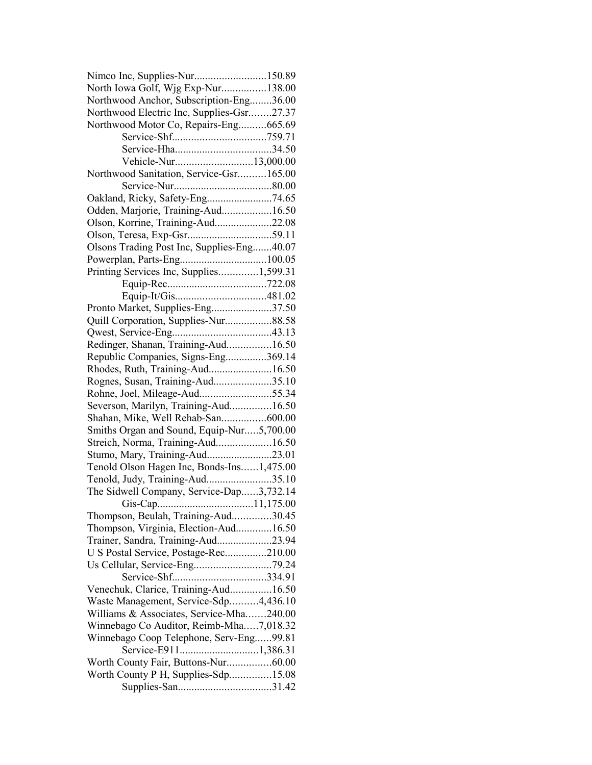| Nimco Inc, Supplies-Nur150.89              |  |
|--------------------------------------------|--|
| North Iowa Golf, Wjg Exp-Nur138.00         |  |
| Northwood Anchor, Subscription-Eng36.00    |  |
| Northwood Electric Inc, Supplies-Gsr27.37  |  |
| Northwood Motor Co, Repairs-Eng665.69      |  |
|                                            |  |
|                                            |  |
| Vehicle-Nur13,000.00                       |  |
| Northwood Sanitation, Service-Gsr165.00    |  |
|                                            |  |
|                                            |  |
| Odden, Marjorie, Training-Aud16.50         |  |
| Olson, Korrine, Training-Aud22.08          |  |
|                                            |  |
| Olsons Trading Post Inc, Supplies-Eng40.07 |  |
|                                            |  |
|                                            |  |
| Printing Services Inc, Supplies1,599.31    |  |
|                                            |  |
|                                            |  |
| Pronto Market, Supplies-Eng37.50           |  |
| Quill Corporation, Supplies-Nur88.58       |  |
|                                            |  |
| Redinger, Shanan, Training-Aud16.50        |  |
| Republic Companies, Signs-Eng369.14        |  |
| Rhodes, Ruth, Training-Aud16.50            |  |
| Rognes, Susan, Training-Aud35.10           |  |
| Rohne, Joel, Mileage-Aud55.34              |  |
| Severson, Marilyn, Training-Aud16.50       |  |
| Shahan, Mike, Well Rehab-San600.00         |  |
| Smiths Organ and Sound, Equip-Nur5,700.00  |  |
| Streich, Norma, Training-Aud16.50          |  |
| Stumo, Mary, Training-Aud23.01             |  |
| Tenold Olson Hagen Inc, Bonds-Ins1,475.00  |  |
| Tenold, Judy, Training-Aud35.10            |  |
| The Sidwell Company, Service-Dap3,732.14   |  |
|                                            |  |
| Thompson, Beulah, Training-Aud30.45        |  |
| Thompson, Virginia, Election-Aud16.50      |  |
| Trainer, Sandra, Training-Aud23.94         |  |
| U S Postal Service, Postage-Rec210.00      |  |
|                                            |  |
|                                            |  |
| Venechuk, Clarice, Training-Aud16.50       |  |
| Waste Management, Service-Sdp4,436.10      |  |
| Williams & Associates, Service-Mha240.00   |  |
| Winnebago Co Auditor, Reimb-Mha7,018.32    |  |
| Winnebago Coop Telephone, Serv-Eng99.81    |  |
| Service-E9111,386.31                       |  |
| Worth County Fair, Buttons-Nur60.00        |  |
|                                            |  |
| Worth County P H, Supplies-Sdp15.08        |  |
|                                            |  |